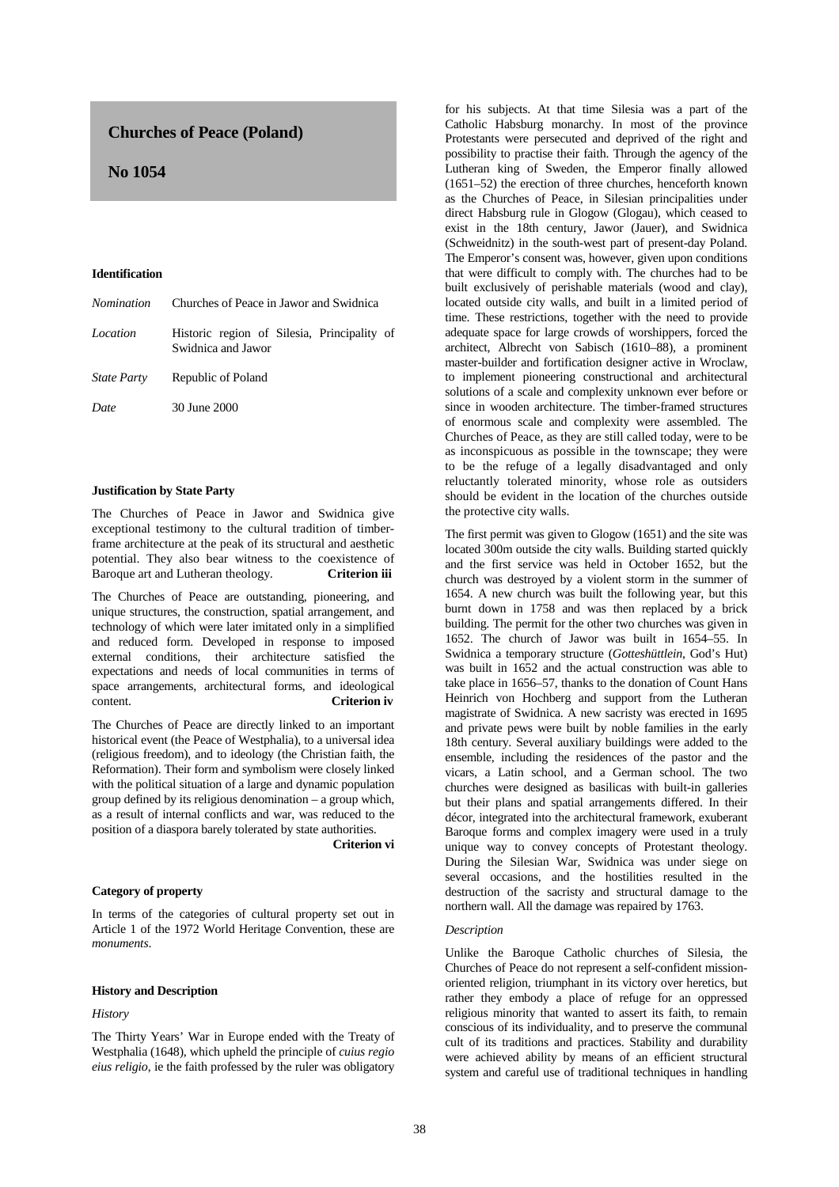# **Churches of Peace (Poland)**

# **No 1054**

### **Identification**

| Nomination         | Churches of Peace in Jawor and Swidnica                           |
|--------------------|-------------------------------------------------------------------|
| Location           | Historic region of Silesia, Principality of<br>Swidnica and Jawor |
| <i>State Party</i> | Republic of Poland                                                |
| Date               | 30 June 2000                                                      |
|                    |                                                                   |

## **Justification by State Party**

The Churches of Peace in Jawor and Swidnica give exceptional testimony to the cultural tradition of timberframe architecture at the peak of its structural and aesthetic potential. They also bear witness to the coexistence of Baroque art and Lutheran theology. **Criterion iii**

The Churches of Peace are outstanding, pioneering, and unique structures, the construction, spatial arrangement, and technology of which were later imitated only in a simplified and reduced form. Developed in response to imposed external conditions, their architecture satisfied the expectations and needs of local communities in terms of space arrangements, architectural forms, and ideological content. **Criterion iv**

The Churches of Peace are directly linked to an important historical event (the Peace of Westphalia), to a universal idea (religious freedom), and to ideology (the Christian faith, the Reformation). Their form and symbolism were closely linked with the political situation of a large and dynamic population group defined by its religious denomination – a group which, as a result of internal conflicts and war, was reduced to the position of a diaspora barely tolerated by state authorities.

**Criterion vi** 

# **Category of property**

In terms of the categories of cultural property set out in Article 1 of the 1972 World Heritage Convention, these are *monuments*.

#### **History and Description**

## *History*

The Thirty Years' War in Europe ended with the Treaty of Westphalia (1648), which upheld the principle of *cuius regio eius religio*, ie the faith professed by the ruler was obligatory for his subjects. At that time Silesia was a part of the Catholic Habsburg monarchy. In most of the province Protestants were persecuted and deprived of the right and possibility to practise their faith. Through the agency of the Lutheran king of Sweden, the Emperor finally allowed (1651–52) the erection of three churches, henceforth known as the Churches of Peace, in Silesian principalities under direct Habsburg rule in Glogow (Glogau), which ceased to exist in the 18th century, Jawor (Jauer), and Swidnica (Schweidnitz) in the south-west part of present-day Poland. The Emperor's consent was, however, given upon conditions that were difficult to comply with. The churches had to be built exclusively of perishable materials (wood and clay), located outside city walls, and built in a limited period of time. These restrictions, together with the need to provide adequate space for large crowds of worshippers, forced the architect, Albrecht von Sabisch (1610–88), a prominent master-builder and fortification designer active in Wroclaw, to implement pioneering constructional and architectural solutions of a scale and complexity unknown ever before or since in wooden architecture. The timber-framed structures of enormous scale and complexity were assembled. The Churches of Peace, as they are still called today, were to be as inconspicuous as possible in the townscape; they were to be the refuge of a legally disadvantaged and only reluctantly tolerated minority, whose role as outsiders should be evident in the location of the churches outside the protective city walls.

The first permit was given to Glogow (1651) and the site was located 300m outside the city walls. Building started quickly and the first service was held in October 1652, but the church was destroyed by a violent storm in the summer of 1654. A new church was built the following year, but this burnt down in 1758 and was then replaced by a brick building. The permit for the other two churches was given in 1652. The church of Jawor was built in 1654–55. In Swidnica a temporary structure (*Gotteshüttlein*, God's Hut) was built in 1652 and the actual construction was able to take place in 1656–57, thanks to the donation of Count Hans Heinrich von Hochberg and support from the Lutheran magistrate of Swidnica. A new sacristy was erected in 1695 and private pews were built by noble families in the early 18th century. Several auxiliary buildings were added to the ensemble, including the residences of the pastor and the vicars, a Latin school, and a German school. The two churches were designed as basilicas with built-in galleries but their plans and spatial arrangements differed. In their décor, integrated into the architectural framework, exuberant Baroque forms and complex imagery were used in a truly unique way to convey concepts of Protestant theology. During the Silesian War, Swidnica was under siege on several occasions, and the hostilities resulted in the destruction of the sacristy and structural damage to the northern wall. All the damage was repaired by 1763.

## *Description*

Unlike the Baroque Catholic churches of Silesia, the Churches of Peace do not represent a self-confident missionoriented religion, triumphant in its victory over heretics, but rather they embody a place of refuge for an oppressed religious minority that wanted to assert its faith, to remain conscious of its individuality, and to preserve the communal cult of its traditions and practices. Stability and durability were achieved ability by means of an efficient structural system and careful use of traditional techniques in handling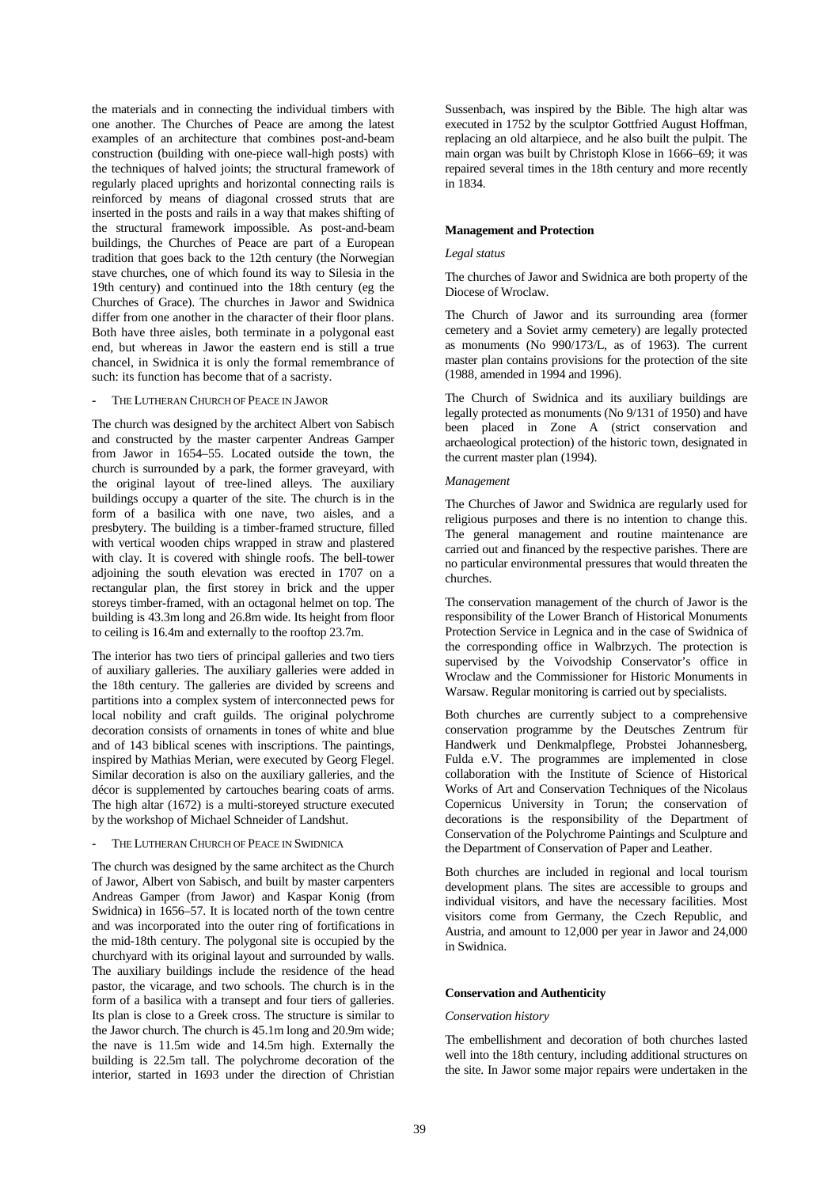the materials and in connecting the individual timbers with one another. The Churches of Peace are among the latest examples of an architecture that combines post-and-beam construction (building with one-piece wall-high posts) with the techniques of halved joints; the structural framework of regularly placed uprights and horizontal connecting rails is reinforced by means of diagonal crossed struts that are inserted in the posts and rails in a way that makes shifting of the structural framework impossible. As post-and-beam buildings, the Churches of Peace are part of a European tradition that goes back to the 12th century (the Norwegian stave churches, one of which found its way to Silesia in the 19th century) and continued into the 18th century (eg the Churches of Grace). The churches in Jawor and Swidnica differ from one another in the character of their floor plans. Both have three aisles, both terminate in a polygonal east end, but whereas in Jawor the eastern end is still a true chancel, in Swidnica it is only the formal remembrance of such: its function has become that of a sacristy.

## **-** THE LUTHERAN CHURCH OF PEACE IN JAWOR

The church was designed by the architect Albert von Sabisch and constructed by the master carpenter Andreas Gamper from Jawor in 1654–55. Located outside the town, the church is surrounded by a park, the former graveyard, with the original layout of tree-lined alleys. The auxiliary buildings occupy a quarter of the site. The church is in the form of a basilica with one nave, two aisles, and a presbytery. The building is a timber-framed structure, filled with vertical wooden chips wrapped in straw and plastered with clay. It is covered with shingle roofs. The bell-tower adjoining the south elevation was erected in 1707 on a rectangular plan, the first storey in brick and the upper storeys timber-framed, with an octagonal helmet on top. The building is 43.3m long and 26.8m wide. Its height from floor to ceiling is 16.4m and externally to the rooftop 23.7m.

The interior has two tiers of principal galleries and two tiers of auxiliary galleries. The auxiliary galleries were added in the 18th century. The galleries are divided by screens and partitions into a complex system of interconnected pews for local nobility and craft guilds. The original polychrome decoration consists of ornaments in tones of white and blue and of 143 biblical scenes with inscriptions. The paintings, inspired by Mathias Merian, were executed by Georg Flegel. Similar decoration is also on the auxiliary galleries, and the décor is supplemented by cartouches bearing coats of arms. The high altar (1672) is a multi-storeyed structure executed by the workshop of Michael Schneider of Landshut.

### **-** THE LUTHERAN CHURCH OF PEACE IN SWIDNICA

The church was designed by the same architect as the Church of Jawor, Albert von Sabisch, and built by master carpenters Andreas Gamper (from Jawor) and Kaspar Konig (from Swidnica) in 1656–57. It is located north of the town centre and was incorporated into the outer ring of fortifications in the mid-18th century. The polygonal site is occupied by the churchyard with its original layout and surrounded by walls. The auxiliary buildings include the residence of the head pastor, the vicarage, and two schools. The church is in the form of a basilica with a transept and four tiers of galleries. Its plan is close to a Greek cross. The structure is similar to the Jawor church. The church is 45.1m long and 20.9m wide; the nave is 11.5m wide and 14.5m high. Externally the building is 22.5m tall. The polychrome decoration of the interior, started in 1693 under the direction of Christian Sussenbach, was inspired by the Bible. The high altar was executed in 1752 by the sculptor Gottfried August Hoffman, replacing an old altarpiece, and he also built the pulpit. The main organ was built by Christoph Klose in 1666–69; it was repaired several times in the 18th century and more recently in 1834.

#### **Management and Protection**

#### *Legal status*

The churches of Jawor and Swidnica are both property of the Diocese of Wroclaw.

The Church of Jawor and its surrounding area (former cemetery and a Soviet army cemetery) are legally protected as monuments (No 990/173/L, as of 1963). The current master plan contains provisions for the protection of the site (1988, amended in 1994 and 1996).

The Church of Swidnica and its auxiliary buildings are legally protected as monuments (No 9/131 of 1950) and have been placed in Zone A (strict conservation and archaeological protection) of the historic town, designated in the current master plan (1994).

#### *Management*

The Churches of Jawor and Swidnica are regularly used for religious purposes and there is no intention to change this. The general management and routine maintenance are carried out and financed by the respective parishes. There are no particular environmental pressures that would threaten the churches.

The conservation management of the church of Jawor is the responsibility of the Lower Branch of Historical Monuments Protection Service in Legnica and in the case of Swidnica of the corresponding office in Walbrzych. The protection is supervised by the Voivodship Conservator's office in Wroclaw and the Commissioner for Historic Monuments in Warsaw. Regular monitoring is carried out by specialists.

Both churches are currently subject to a comprehensive conservation programme by the Deutsches Zentrum für Handwerk und Denkmalpflege, Probstei Johannesberg, Fulda e.V. The programmes are implemented in close collaboration with the Institute of Science of Historical Works of Art and Conservation Techniques of the Nicolaus Copernicus University in Torun; the conservation of decorations is the responsibility of the Department of Conservation of the Polychrome Paintings and Sculpture and the Department of Conservation of Paper and Leather.

Both churches are included in regional and local tourism development plans. The sites are accessible to groups and individual visitors, and have the necessary facilities. Most visitors come from Germany, the Czech Republic, and Austria, and amount to 12,000 per year in Jawor and 24,000 in Swidnica.

## **Conservation and Authenticity**

#### *Conservation history*

The embellishment and decoration of both churches lasted well into the 18th century, including additional structures on the site. In Jawor some major repairs were undertaken in the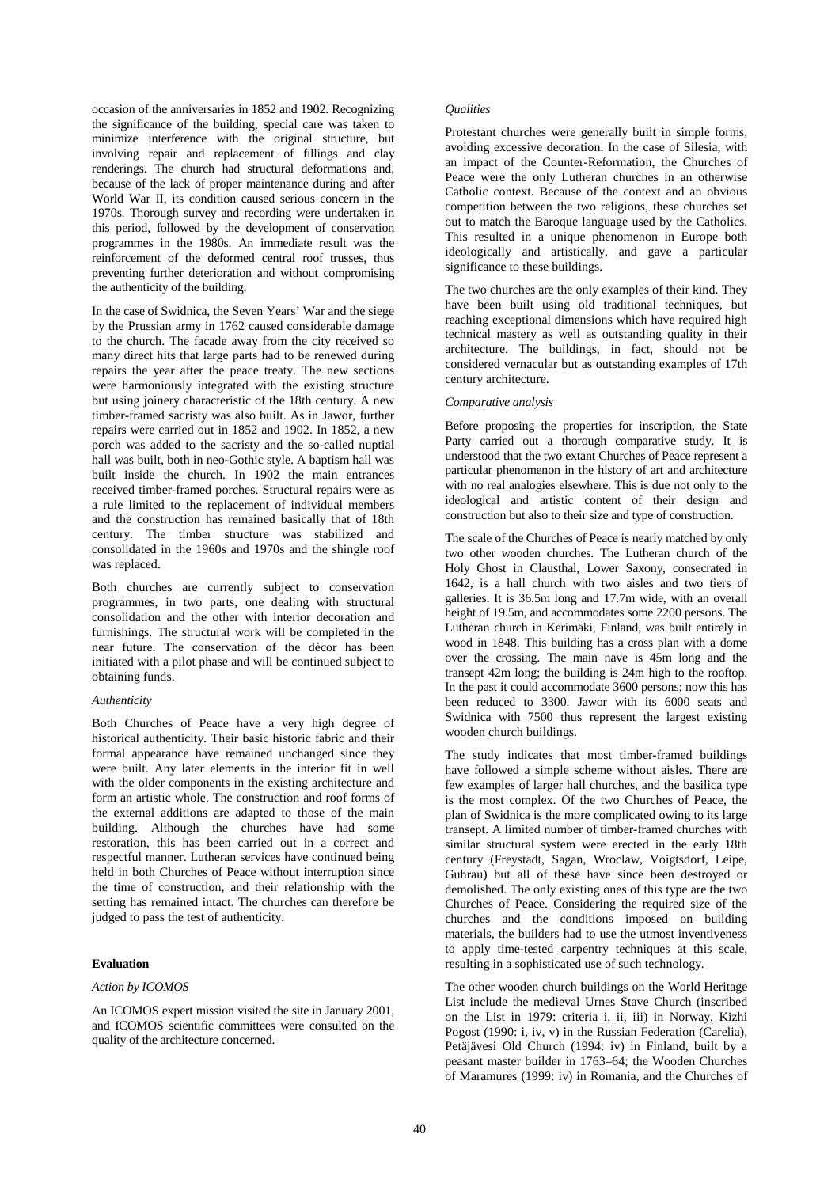occasion of the anniversaries in 1852 and 1902. Recognizing the significance of the building, special care was taken to minimize interference with the original structure, but involving repair and replacement of fillings and clay renderings. The church had structural deformations and, because of the lack of proper maintenance during and after World War II, its condition caused serious concern in the 1970s. Thorough survey and recording were undertaken in this period, followed by the development of conservation programmes in the 1980s. An immediate result was the reinforcement of the deformed central roof trusses, thus preventing further deterioration and without compromising the authenticity of the building.

In the case of Swidnica, the Seven Years' War and the siege by the Prussian army in 1762 caused considerable damage to the church. The facade away from the city received so many direct hits that large parts had to be renewed during repairs the year after the peace treaty. The new sections were harmoniously integrated with the existing structure but using joinery characteristic of the 18th century. A new timber-framed sacristy was also built. As in Jawor, further repairs were carried out in 1852 and 1902. In 1852, a new porch was added to the sacristy and the so-called nuptial hall was built, both in neo-Gothic style. A baptism hall was built inside the church. In 1902 the main entrances received timber-framed porches. Structural repairs were as a rule limited to the replacement of individual members and the construction has remained basically that of 18th century. The timber structure was stabilized and consolidated in the 1960s and 1970s and the shingle roof was replaced.

Both churches are currently subject to conservation programmes, in two parts, one dealing with structural consolidation and the other with interior decoration and furnishings. The structural work will be completed in the near future. The conservation of the décor has been initiated with a pilot phase and will be continued subject to obtaining funds.

## *Authenticity*

Both Churches of Peace have a very high degree of historical authenticity. Their basic historic fabric and their formal appearance have remained unchanged since they were built. Any later elements in the interior fit in well with the older components in the existing architecture and form an artistic whole. The construction and roof forms of the external additions are adapted to those of the main building. Although the churches have had some restoration, this has been carried out in a correct and respectful manner. Lutheran services have continued being held in both Churches of Peace without interruption since the time of construction, and their relationship with the setting has remained intact. The churches can therefore be judged to pass the test of authenticity.

## **Evaluation**

# *Action by ICOMOS*

An ICOMOS expert mission visited the site in January 2001, and ICOMOS scientific committees were consulted on the quality of the architecture concerned.

#### *Qualities*

Protestant churches were generally built in simple forms, avoiding excessive decoration. In the case of Silesia, with an impact of the Counter-Reformation, the Churches of Peace were the only Lutheran churches in an otherwise Catholic context. Because of the context and an obvious competition between the two religions, these churches set out to match the Baroque language used by the Catholics. This resulted in a unique phenomenon in Europe both ideologically and artistically, and gave a particular significance to these buildings.

The two churches are the only examples of their kind. They have been built using old traditional techniques, but reaching exceptional dimensions which have required high technical mastery as well as outstanding quality in their architecture. The buildings, in fact, should not be considered vernacular but as outstanding examples of 17th century architecture.

#### *Comparative analysis*

Before proposing the properties for inscription, the State Party carried out a thorough comparative study. It is understood that the two extant Churches of Peace represent a particular phenomenon in the history of art and architecture with no real analogies elsewhere. This is due not only to the ideological and artistic content of their design and construction but also to their size and type of construction.

The scale of the Churches of Peace is nearly matched by only two other wooden churches. The Lutheran church of the Holy Ghost in Clausthal, Lower Saxony, consecrated in 1642, is a hall church with two aisles and two tiers of galleries. It is 36.5m long and 17.7m wide, with an overall height of 19.5m, and accommodates some 2200 persons. The Lutheran church in Kerimäki, Finland, was built entirely in wood in 1848. This building has a cross plan with a dome over the crossing. The main nave is 45m long and the transept 42m long; the building is 24m high to the rooftop. In the past it could accommodate 3600 persons; now this has been reduced to 3300. Jawor with its 6000 seats and Swidnica with 7500 thus represent the largest existing wooden church buildings.

The study indicates that most timber-framed buildings have followed a simple scheme without aisles. There are few examples of larger hall churches, and the basilica type is the most complex. Of the two Churches of Peace, the plan of Swidnica is the more complicated owing to its large transept. A limited number of timber-framed churches with similar structural system were erected in the early 18th century (Freystadt, Sagan, Wroclaw, Voigtsdorf, Leipe, Guhrau) but all of these have since been destroyed or demolished. The only existing ones of this type are the two Churches of Peace. Considering the required size of the churches and the conditions imposed on building materials, the builders had to use the utmost inventiveness to apply time-tested carpentry techniques at this scale, resulting in a sophisticated use of such technology.

The other wooden church buildings on the World Heritage List include the medieval Urnes Stave Church (inscribed on the List in 1979: criteria i, ii, iii) in Norway, Kizhi Pogost (1990: i, iv, v) in the Russian Federation (Carelia), Petäjävesi Old Church (1994: iv) in Finland, built by a peasant master builder in 1763–64; the Wooden Churches of Maramures (1999: iv) in Romania, and the Churches of